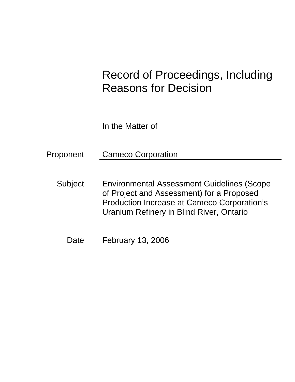# Record of Proceedings, Including Reasons for Decision

In the Matter of

Proponent Cameco Corporation

Subject Environmental Assessment Guidelines (Scope of Project and Assessment) for a Proposed Production Increase at Cameco Corporation's Uranium Refinery in Blind River, Ontario

Date February 13, 2006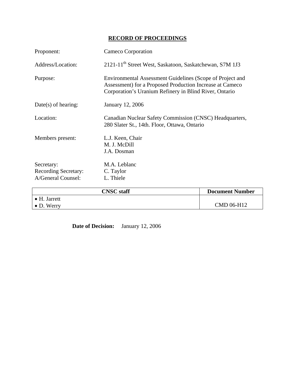## **RECORD OF PROCEEDINGS**

| Proponent:                                               | Cameco Corporation<br>2121-11 <sup>th</sup> Street West, Saskatoon, Saskatchewan, S7M 1J3                                                                                       |                        |  |
|----------------------------------------------------------|---------------------------------------------------------------------------------------------------------------------------------------------------------------------------------|------------------------|--|
| Address/Location:                                        |                                                                                                                                                                                 |                        |  |
| Purpose:                                                 | Environmental Assessment Guidelines (Scope of Project and<br>Assessment) for a Proposed Production Increase at Cameco<br>Corporation's Uranium Refinery in Blind River, Ontario |                        |  |
| $Date(s)$ of hearing:                                    | January 12, 2006                                                                                                                                                                |                        |  |
| Location:                                                | Canadian Nuclear Safety Commission (CNSC) Headquarters,<br>280 Slater St., 14th. Floor, Ottawa, Ontario                                                                         |                        |  |
| Members present:                                         | L.J. Keen, Chair<br>M. J. McDill<br>J.A. Dosman                                                                                                                                 |                        |  |
| Secretary:<br>Recording Secretary:<br>A/General Counsel: | M.A. Leblanc<br>C. Taylor<br>L. Thiele                                                                                                                                          |                        |  |
|                                                          | <b>CNSC</b> staff                                                                                                                                                               | <b>Document Number</b> |  |
| $\bullet$ H. Jarrett<br>$\bullet$ D. Werry               |                                                                                                                                                                                 | CMD 06-H12             |  |

 **Date of Decision:** January 12, 2006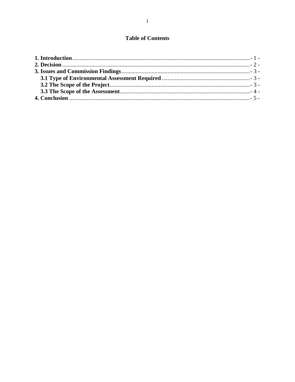### **Table of Contents**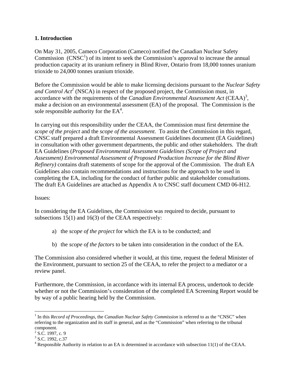#### **1. Introduction**

On May 31, 2005, Cameco Corporation (Cameco) notified the Canadian Nuclear Safety Commission  $(CNSC<sup>1</sup>)$  of its intent to seek the Commission's approval to increase the annual production capacity at its uranium refinery in Blind River, Ontario from 18,000 tonnes uranium trioxide to 24,000 tonnes uranium trioxide.

Before the Commission would be able to make licensing decisions pursuant to the *Nuclear Safety*  and Control  $Act^2$  (NSCA) in respect of the proposed project, the Commission must, in accordance with the requirements of the *Canadian Environmental Assessment Act* (CEAA)<sup>3</sup>, make a decision on an environmental assessment (EA) of the proposal. The Commission is the sole responsible authority for the  $EA^4$ .

In carrying out this responsibility under the CEAA, the Commission must first determine the *scope of the project* and the *scope of the assessment*. To assist the Commission in this regard, CNSC staff prepared a draft Environmental Assessment Guidelines document (EA Guidelines) in consultation with other government departments, the public and other stakeholders. The draft EA Guidelines (*Proposed Environmental Assessment Guidelines (Scope of Project and Assessment) Environmental Assessment of Proposed Production Increase for the Blind River Refinery)* contains draft statements of scope for the approval of the Commission. The draft EA Guidelines also contain recommendations and instructions for the approach to be used in completing the EA, including for the conduct of further public and stakeholder consultations. The draft EA Guidelines are attached as Appendix A to CNSC staff document CMD 06-H12.

#### Issues:

In considering the EA Guidelines, the Commission was required to decide, pursuant to subsections 15(1) and 16(3) of the CEAA respectively:

- a) the *scope of the project* for which the EA is to be conducted; and
- b) the *scope of the factors* to be taken into consideration in the conduct of the EA.

The Commission also considered whether it would, at this time, request the federal Minister of the Environment, pursuant to section 25 of the CEAA, to refer the project to a mediator or a review panel.

Furthermore, the Commission, in accordance with its internal EA process, undertook to decide whether or not the Commission's consideration of the completed EA Screening Report would be by way of a public hearing held by the Commission.

 $\overline{a}$ 

<sup>&</sup>lt;sup>1</sup> In this *Record of Proceedings*, the *Canadian Nuclear Safety Commission* is referred to as the "CNSC" when referring to the organization and its staff in general, and as the "Commission" when referring to the tribunal component.

 $2$  S.C. 1997, c. 9

 $3$  S.C. 1992, c.37

 $4$  Responsible Authority in relation to an EA is determined in accordance with subsection 11(1) of the CEAA.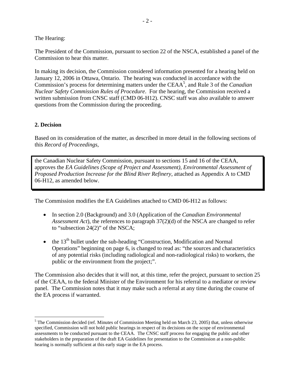The Hearing:

The President of the Commission, pursuant to section 22 of the NSCA, established a panel of the Commission to hear this matter.

In making its decision, the Commission considered information presented for a hearing held on January 12, 2006 in Ottawa, Ontario. The hearing was conducted in accordance with the Commission's process for determining matters under the CEAA5 , and Rule 3 of the *Canadian Nuclear Safety Commission Rules of Procedure*. For the hearing, the Commission received a written submission from CNSC staff (CMD 06-H12). CNSC staff was also available to answer questions from the Commission during the proceeding.

#### **2. Decision**

 $\overline{a}$ 

Based on its consideration of the matter, as described in more detail in the following sections of this *Record of Proceedings,*

the Canadian Nuclear Safety Commission, pursuant to sections 15 and 16 of the CEAA, approves the *EA Guidelines (Scope of Project and Assessment), Environmental Assessment of Proposed Production Increase for the Blind River Refinery*, attached as Appendix A to CMD 06-H12, as amended below.

The Commission modifies the EA Guidelines attached to CMD 06-H12 as follows:

- In section 2.0 (Background) and 3.0 (Application of the *Canadian Environmental Assessment Act*), the references to paragraph 37(2)(d) of the NSCA are changed to refer to "subsection 24(2)" of the NSCA;
- $\bullet$  the 13<sup>th</sup> bullet under the sub-heading "Construction, Modification and Normal Operations" beginning on page 6, is changed to read as: "the sources and characteristics of any potential risks (including radiological and non-radiological risks) to workers, the public or the environment from the project;".

The Commission also decides that it will not, at this time, refer the project, pursuant to section 25 of the CEAA, to the federal Minister of the Environment for his referral to a mediator or review panel. The Commission notes that it may make such a referral at any time during the course of the EA process if warranted.

<sup>&</sup>lt;sup>5</sup> The Commission decided (ref. Minutes of Commission Meeting held on March 23, 2005) that, unless otherwise specified, Commission will not hold public hearings in respect of its decisions on the scope of environmental assessments to be conducted pursuant to the CEAA. The CNSC staff process for engaging the public and other stakeholders in the preparation of the draft EA Guidelines for presentation to the Commission at a non-public hearing is normally sufficient at this early stage in the EA process.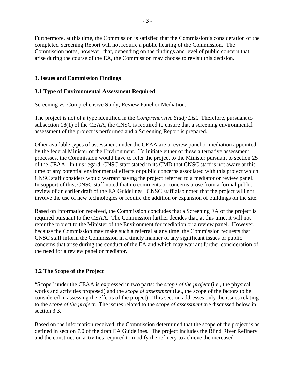Furthermore, at this time, the Commission is satisfied that the Commission's consideration of the completed Screening Report will not require a public hearing of the Commission. The Commission notes, however, that, depending on the findings and level of public concern that arise during the course of the EA, the Commission may choose to revisit this decision.

#### **3. Issues and Commission Findings**

#### **3.1 Type of Environmental Assessment Required**

Screening vs. Comprehensive Study, Review Panel or Mediation:

The project is not of a type identified in the *Comprehensive Study List*. Therefore, pursuant to subsection 18(1) of the CEAA, the CNSC is required to ensure that a screening environmental assessment of the project is performed and a Screening Report is prepared.

Other available types of assessment under the CEAA are a review panel or mediation appointed by the federal Minister of the Environment. To initiate either of these alternative assessment processes, the Commission would have to refer the project to the Minister pursuant to section 25 of the CEAA. In this regard, CNSC staff stated in its CMD that CNSC staff is not aware at this time of any potential environmental effects or public concerns associated with this project which CNSC staff considers would warrant having the project referred to a mediator or review panel. In support of this, CNSC staff noted that no comments or concerns arose from a formal public review of an earlier draft of the EA Guidelines. CNSC staff also noted that the project will not involve the use of new technologies or require the addition or expansion of buildings on the site.

Based on information received, the Commission concludes that a Screening EA of the project is required pursuant to the CEAA. The Commission further decides that, at this time, it will not refer the project to the Minister of the Environment for mediation or a review panel. However, because the Commission may make such a referral at any time, the Commission requests that CNSC staff inform the Commission in a timely manner of any significant issues or public concerns that arise during the conduct of the EA and which may warrant further consideration of the need for a review panel or mediator.

#### **3.2 The Scope of the Project**

"Scope" under the CEAA is expressed in two parts: the *scope of the project* (i.e., the physical works and activities proposed) and the *scope of assessment* (i.e., the scope of the factors to be considered in assessing the effects of the project). This section addresses only the issues relating to the *scope of the project*. The issues related to the *scope of assessment* are discussed below in section 3.3.

Based on the information received, the Commission determined that the scope of the project is as defined in section 7.0 of the draft EA Guidelines. The project includes the Blind River Refinery and the construction activities required to modify the refinery to achieve the increased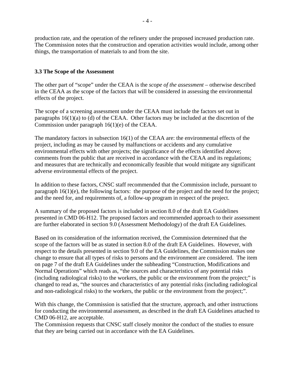production rate, and the operation of the refinery under the proposed increased production rate. The Commission notes that the construction and operation activities would include, among other things, the transportation of materials to and from the site.

#### **3.3 The Scope of the Assessment**

The other part of "scope" under the CEAA is the *scope of the assessment* – otherwise described in the CEAA as the scope of the factors that will be considered in assessing the environmental effects of the project.

The scope of a screening assessment under the CEAA must include the factors set out in paragraphs 16(1)(a) to (d) of the CEAA. Other factors may be included at the discretion of the Commission under paragraph 16(1)(e) of the CEAA.

The mandatory factors in subsection 16(1) of the CEAA are: the environmental effects of the project, including as may be caused by malfunctions or accidents and any cumulative environmental effects with other projects; the significance of the effects identified above; comments from the public that are received in accordance with the CEAA and its regulations; and measures that are technically and economically feasible that would mitigate any significant adverse environmental effects of the project.

In addition to these factors, CNSC staff recommended that the Commission include, pursuant to paragraph  $16(1)(e)$ , the following factors: the purpose of the project and the need for the project; and the need for, and requirements of, a follow-up program in respect of the project.

A summary of the proposed factors is included in section 8.0 of the draft EA Guidelines presented in CMD 06-H12. The proposed factors and recommended approach to their assessment are further elaborated in section 9.0 (Assessment Methodology) of the draft EA Guidelines.

Based on its consideration of the information received, the Commission determined that the scope of the factors will be as stated in section 8.0 of the draft EA Guidelines. However, with respect to the details presented in section 9.0 of the EA Guidelines, the Commission makes one change to ensure that all types of risks to persons and the environment are considered. The item on page 7 of the draft EA Guidelines under the subheading "Construction, Modifications and Normal Operations" which reads as, "the sources and characteristics of any potential risks (including radiological risks) to the workers, the public or the environment from the project;" is changed to read as, "the sources and characteristics of any potential risks (including radiological and non-radiological risks) to the workers, the public or the environment from the project;".

With this change, the Commission is satisfied that the structure, approach, and other instructions for conducting the environmental assessment, as described in the draft EA Guidelines attached to CMD 06-H12, are acceptable.

The Commission requests that CNSC staff closely monitor the conduct of the studies to ensure that they are being carried out in accordance with the EA Guidelines.